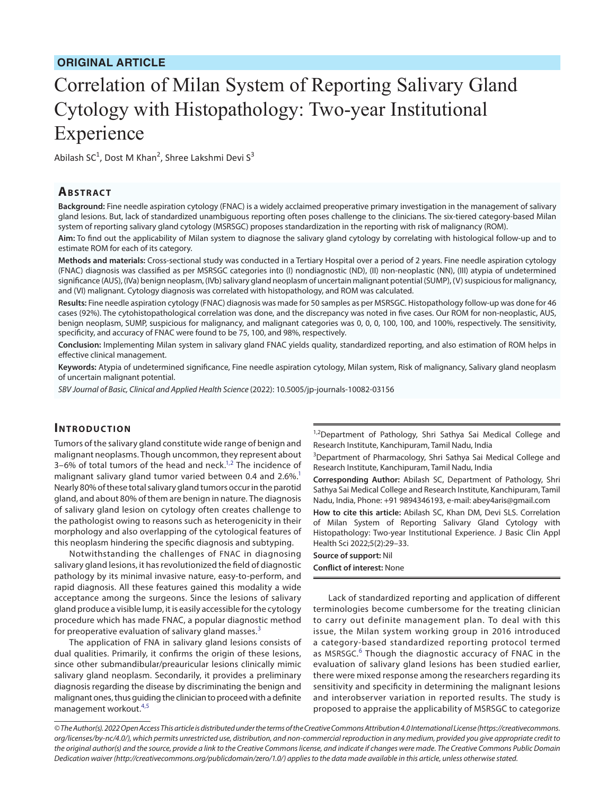# Correlation of Milan System of Reporting Salivary Gland Cytology with Histopathology: Two-year Institutional Experience

Abilash SC<sup>1</sup>, Dost M Khan<sup>2</sup>, Shree Lakshmi Devi S<sup>3</sup>

### **Ab s t rac t**

**Background:** Fine needle aspiration cytology (FNAC) is a widely acclaimed preoperative primary investigation in the management of salivary gland lesions. But, lack of standardized unambiguous reporting often poses challenge to the clinicians. The six-tiered category-based Milan system of reporting salivary gland cytology (MSRSGC) proposes standardization in the reporting with risk of malignancy (ROM).

**Aim:** To find out the applicability of Milan system to diagnose the salivary gland cytology by correlating with histological follow-up and to estimate ROM for each of its category.

**Methods and materials:** Cross-sectional study was conducted in a Tertiary Hospital over a period of 2 years. Fine needle aspiration cytology (FNAC) diagnosis was classified as per MSRSGC categories into (I) nondiagnostic (ND), (II) non-neoplastic (NN), (III) atypia of undetermined significance (AUS), (IVa) benign neoplasm, (IVb) salivary gland neoplasm of uncertain malignant potential (SUMP), (V) suspicious for malignancy, and (VI) malignant. Cytology diagnosis was correlated with histopathology, and ROM was calculated.

**Results:** Fine needle aspiration cytology (FNAC) diagnosis was made for 50 samples as per MSRSGC. Histopathology follow-up was done for 46 cases (92%). The cytohistopathological correlation was done, and the discrepancy was noted in five cases. Our ROM for non-neoplastic, AUS, benign neoplasm, SUMP, suspicious for malignancy, and malignant categories was 0, 0, 0, 100, 100, and 100%, respectively. The sensitivity, specificity, and accuracy of FNAC were found to be 75, 100, and 98%, respectively.

**Conclusion:** Implementing Milan system in salivary gland FNAC yields quality, standardized reporting, and also estimation of ROM helps in effective clinical management.

**Keywords:** Atypia of undetermined significance, Fine needle aspiration cytology, Milan system, Risk of malignancy, Salivary gland neoplasm of uncertain malignant potential.

*SBV Journal of Basic, Clinical and Applied Health Science* (2022): 10.5005/jp-journals-10082-03156

#### **INTRODUCTION**

Tumors of the salivary gland constitute wide range of benign and malignant neoplasms. Though uncommon, they represent about 3-6% of total tumors of the head and neck. $1,2$  $1,2$  The incidence of malignant salivary gland tumor varied between 0.4 and 2.6%.<sup>1</sup> Nearly 80% of these total salivary gland tumors occur in the parotid gland, and about 80% of them are benign in nature. The diagnosis of salivary gland lesion on cytology often creates challenge to the pathologist owing to reasons such as heterogenicity in their morphology and also overlapping of the cytological features of this neoplasm hindering the specific diagnosis and subtyping.

Notwithstanding the challenges of FNAC in diagnosing salivary gland lesions, it has revolutionized the field of diagnostic pathology by its minimal invasive nature, easy-to-perform, and rapid diagnosis. All these features gained this modality a wide acceptance among the surgeons. Since the lesions of salivary gland produce a visible lump, it is easily accessible for the cytology procedure which has made FNAC, a popular diagnostic method for preoperative evaluation of salivary gland masses.<sup>[3](#page-3-2)</sup>

The application of FNA in salivary gland lesions consists of dual qualities. Primarily, it confirms the origin of these lesions, since other submandibular/preauricular lesions clinically mimic salivary gland neoplasm. Secondarily, it provides a preliminary diagnosis regarding the disease by discriminating the benign and malignant ones, thus guiding the clinician to proceed with a definite management workout.[4](#page-3-3)[,5](#page-3-4)

<sup>1,2</sup>Department of Pathology, Shri Sathya Sai Medical College and Research Institute, Kanchipuram, Tamil Nadu, India

<sup>3</sup>Department of Pharmacology, Shri Sathya Sai Medical College and Research Institute, Kanchipuram, Tamil Nadu, India

**Corresponding Author:** Abilash SC, Department of Pathology, Shri Sathya Sai Medical College and Research Institute, Kanchipuram, Tamil Nadu, India, Phone: +91 9894346193, e-mail: abey4aris@gmail.com

**How to cite this article:** Abilash SC, Khan DM, Devi SLS. Correlation of Milan System of Reporting Salivary Gland Cytology with Histopathology: Two-year Institutional Experience. J Basic Clin Appl Health Sci 2022;5(2):29–33.

**Source of support:** Nil **Conflict of interest:** None

Lack of standardized reporting and application of different terminologies become cumbersome for the treating clinician to carry out definite management plan. To deal with this issue, the Milan system working group in 2016 introduced a category-based standardized reporting protocol termed as MSRSGC.<sup>[6](#page-3-5)</sup> Though the diagnostic accuracy of FNAC in the evaluation of salivary gland lesions has been studied earlier, there were mixed response among the researchers regarding its sensitivity and specificity in determining the malignant lesions and interobserver variation in reported results. The study is proposed to appraise the applicability of MSRSGC to categorize

*© The Author(s). 2022 Open Access This article is distributed under the terms of the Creative Commons Attribution 4.0 International License ([https://creativecommons.](https://creativecommons.org/licenses/by-nc/4.0/) [org/licenses/by-nc/4.0/](https://creativecommons.org/licenses/by-nc/4.0/)), which permits unrestricted use, distribution, and non-commercial reproduction in any medium, provided you give appropriate credit to the original author(s) and the source, provide a link to the Creative Commons license, and indicate if changes were made. The Creative Commons Public Domain Dedication waiver ([http://creativecommons.org/publicdomain/zero/1.0/\)](http://creativecommons.org/publicdomain/zero/1.0/) applies to the data made available in this article, unless otherwise stated.*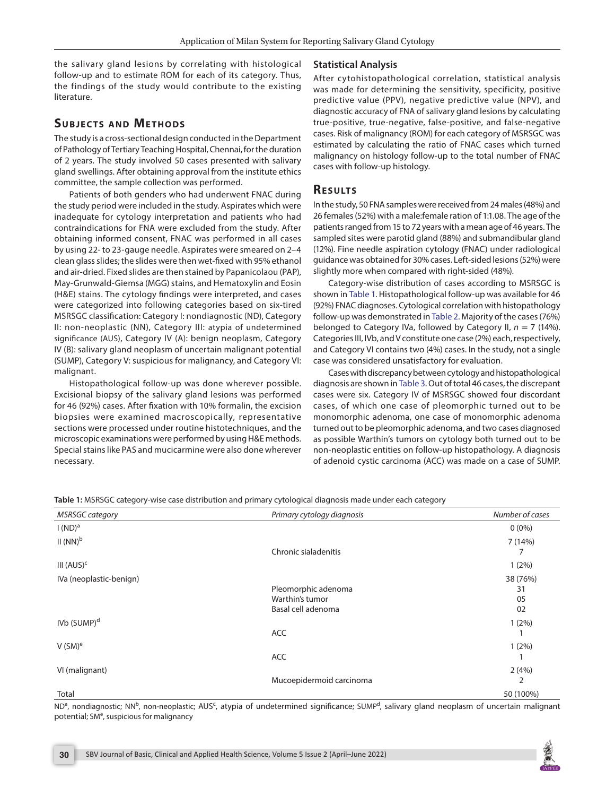the salivary gland lesions by correlating with histological follow-up and to estimate ROM for each of its category. Thus, the findings of the study would contribute to the existing literature.

# **SUBJECTS AND METHODS**

The study is a cross-sectional design conducted in the Department of Pathology of Tertiary Teaching Hospital, Chennai, for the duration of 2 years. The study involved 50 cases presented with salivary gland swellings. After obtaining approval from the institute ethics committee, the sample collection was performed.

Patients of both genders who had underwent FNAC during the study period were included in the study. Aspirates which were inadequate for cytology interpretation and patients who had contraindications for FNA were excluded from the study. After obtaining informed consent, FNAC was performed in all cases by using 22- to 23-gauge needle. Aspirates were smeared on 2–4 clean glass slides; the slides were then wet-fixed with 95% ethanol and air-dried. Fixed slides are then stained by Papanicolaou (PAP), May-Grunwald-Giemsa (MGG) stains, and Hematoxylin and Eosin (H&E) stains. The cytology findings were interpreted, and cases were categorized into following categories based on six-tired MSRSGC classification: Category I: nondiagnostic (ND), Category II: non-neoplastic (NN), Category III: atypia of undetermined significance (AUS), Category IV (A): benign neoplasm, Category IV (B): salivary gland neoplasm of uncertain malignant potential (SUMP), Category V: suspicious for malignancy, and Category VI: malignant.

Histopathological follow-up was done wherever possible. Excisional biopsy of the salivary gland lesions was performed for 46 (92%) cases. After fixation with 10% formalin, the excision biopsies were examined macroscopically, representative sections were processed under routine histotechniques, and the microscopic examinations were performed by using H&E methods. Special stains like PAS and mucicarmine were also done wherever necessary.

## **Statistical Analysis**

After cytohistopathological correlation, statistical analysis was made for determining the sensitivity, specificity, positive predictive value (PPV), negative predictive value (NPV), and diagnostic accuracy of FNA of salivary gland lesions by calculating true-positive, true-negative, false-positive, and false-negative cases. Risk of malignancy (ROM) for each category of MSRSGC was estimated by calculating the ratio of FNAC cases which turned malignancy on histology follow-up to the total number of FNAC cases with follow-up histology.

## **RESULTS**

In the study, 50 FNA samples were received from 24 males (48%) and 26 females (52%) with a male:female ration of 1:1.08. The age of the patients ranged from 15 to 72 years with a mean age of 46 years. The sampled sites were parotid gland (88%) and submandibular gland (12%). Fine needle aspiration cytology (FNAC) under radiological guidance was obtained for 30% cases. Left-sided lesions (52%) were slightly more when compared with right-sided (48%).

Category-wise distribution of cases according to MSRSGC is shown in [Table 1.](#page-1-0) Histopathological follow-up was available for 46 (92%) FNAC diagnoses. Cytological correlation with histopathology follow-up was demonstrated in [Table 2](#page-2-0). Majority of the cases (76%) belonged to Category IVa, followed by Category II,  $n = 7$  (14%). Categories III, IVb, and V constitute one case (2%) each, respectively, and Category VI contains two (4%) cases. In the study, not a single case was considered unsatisfactory for evaluation.

Cases with discrepancy between cytology and histopathological diagnosis are shown in [Table 3](#page-2-1). Out of total 46 cases, the discrepant cases were six. Category IV of MSRSGC showed four discordant cases, of which one case of pleomorphic turned out to be monomorphic adenoma, one case of monomorphic adenoma turned out to be pleomorphic adenoma, and two cases diagnosed as possible Warthin's tumors on cytology both turned out to be non-neoplastic entities on follow-up histopathology. A diagnosis of adenoid cystic carcinoma (ACC) was made on a case of SUMP.

*MSRSGC category Primary cytology diagnosis Number of cases*   $I(ND)^a$  0 (0%)  $II$  (NN) $<sup>b</sup>$ </sup> Chronic sialadenitis 7 (14%) 7 III (AUS)<sup>c</sup> 1 (2%) IVa (neoplastic-benign) Pleomorphic adenoma Warthin's tumor Basal cell adenoma 38 (76%) 31 05 02 IVb (SUMP)<sup>d</sup> ACC 1 (2%) 1  $V$  (SM) $^{\rm e}$ ACC 1 (2%) 1 VI (malignant) Mucoepidermoid carcinoma 2 (4%) 2 Total 50 (100%)

<span id="page-1-0"></span>**Table 1:** MSRSGC category-wise case distribution and primary cytological diagnosis made under each category

ND<sup>a</sup>, nondiagnostic; NN<sup>b</sup>, non-neoplastic; AUS<sup>c</sup>, atypia of undetermined significance; SUMP<sup>d</sup>, salivary gland neoplasm of uncertain malignant potential; SM<sup>e</sup>, suspicious for malignancy

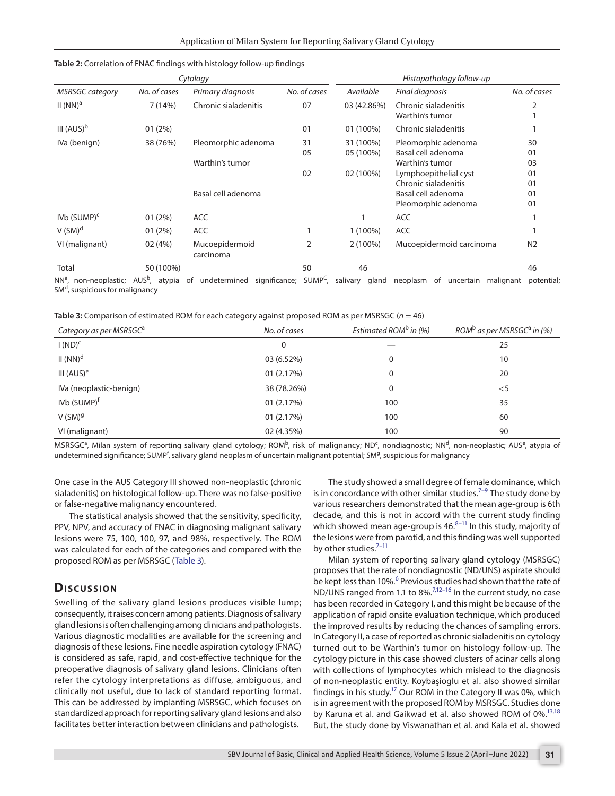| Cytology                                           |                  |                                                              |                | Histopathology follow-up            |                                                                                                                                     |                                              |
|----------------------------------------------------|------------------|--------------------------------------------------------------|----------------|-------------------------------------|-------------------------------------------------------------------------------------------------------------------------------------|----------------------------------------------|
| <b>MSRSGC category</b>                             | No. of cases     | Primary diagnosis                                            | No. of cases   | Available                           | Final diagnosis                                                                                                                     | No. of cases                                 |
| $II(NN)^a$                                         | 7 (14%)          | Chronic sialadenitis                                         | 07             | 03 (42.86%)                         | Chronic sialadenitis<br>Warthin's tumor                                                                                             |                                              |
| III $(AUS)^b$                                      | 01(2%)           |                                                              | 01             | 01 (100%)                           | Chronic sialadenitis                                                                                                                |                                              |
| IVa (benign)                                       | 38 (76%)         | Pleomorphic adenoma<br>Warthin's tumor<br>Basal cell adenoma | 31<br>05<br>02 | 31 (100%)<br>05 (100%)<br>02 (100%) | Pleomorphic adenoma<br>Basal cell adenoma<br>Warthin's tumor<br>Lymphoepithelial cyst<br>Chronic sialadenitis<br>Basal cell adenoma | 30<br>01<br>03<br>01<br>01<br>0 <sup>1</sup> |
| $IVB$ (SUMP) <sup>c</sup><br>$V$ (SM) <sup>d</sup> | 01(2%)<br>01(2%) | <b>ACC</b><br><b>ACC</b>                                     |                | 1 (100%)                            | Pleomorphic adenoma<br><b>ACC</b><br><b>ACC</b>                                                                                     | 01                                           |
| VI (malignant)                                     | 02 (4%)          | Mucoepidermoid<br>carcinoma                                  | 2              | $2(100\%)$                          | Mucoepidermoid carcinoma                                                                                                            | N <sub>2</sub>                               |
| Total                                              | 50 (100%)        |                                                              | 50             | 46                                  |                                                                                                                                     | 46                                           |

#### <span id="page-2-0"></span>**Table 2:** Correlation of FNAC findings with histology follow-up findings

NN<sup>a</sup>, non-neoplastic; AUS<sup>b</sup>, atypia of undetermined significance; SUMP<sup>C</sup>, salivary gland neoplasm of uncertain malignant potential; SM<sup>d</sup>, suspicious for malignancy

<span id="page-2-1"></span>

|  |  | Table 3: Comparison of estimated ROM for each category against proposed ROM as per MSRSGC ( $n = 46$ ) |
|--|--|--------------------------------------------------------------------------------------------------------|
|--|--|--------------------------------------------------------------------------------------------------------|

| Category as per MSRSGC <sup>a</sup> | No. of cases | Estimated ROM <sup>b</sup> in $(%)$ | ROM <sup>b</sup> as per MSRSGC <sup>a</sup> in (%) |
|-------------------------------------|--------------|-------------------------------------|----------------------------------------------------|
| $I (ND)^c$                          | $\Omega$     |                                     | 25                                                 |
| $II(NN)^d$                          | 03 (6.52%)   | 0                                   | 10                                                 |
| III $(AUS)^e$                       | 01(2.17%)    | 0                                   | 20                                                 |
| IVa (neoplastic-benign)             | 38 (78.26%)  | 0                                   | $<$ 5                                              |
| IVb (SUMP) <sup>f</sup>             | 01(2.17%)    | 100                                 | 35                                                 |
| $V(SM)^{g}$                         | 01(2.17%)    | 100                                 | 60                                                 |
| VI (malignant)                      | 02 (4.35%)   | 100                                 | 90                                                 |

MSRSGC<sup>a</sup>, Milan system of reporting salivary gland cytology; ROM<sup>b</sup>, risk of malignancy; ND<sup>c</sup>, nondiagnostic; NN<sup>d</sup>, non-neoplastic; AUS<sup>e</sup>, atypia of undetermined significance; SUMP<sup>f</sup>, salivary gland neoplasm of uncertain malignant potential; SM<sup>g</sup>, suspicious for malignancy

One case in the AUS Category III showed non-neoplastic (chronic sialadenitis) on histological follow-up. There was no false-positive or false-negative malignancy encountered.

The statistical analysis showed that the sensitivity, specificity, PPV, NPV, and accuracy of FNAC in diagnosing malignant salivary lesions were 75, 100, 100, 97, and 98%, respectively. The ROM was calculated for each of the categories and compared with the proposed ROM as per MSRSGC ([Table 3\)](#page-2-1).

# **Dis c u s sio n**

Swelling of the salivary gland lesions produces visible lump; consequently, it raises concern among patients. Diagnosis of salivary gland lesions is often challenging among clinicians and pathologists. Various diagnostic modalities are available for the screening and diagnosis of these lesions. Fine needle aspiration cytology (FNAC) is considered as safe, rapid, and cost-effective technique for the preoperative diagnosis of salivary gland lesions. Clinicians often refer the cytology interpretations as diffuse, ambiguous, and clinically not useful, due to lack of standard reporting format. This can be addressed by implanting MSRSGC, which focuses on standardized approach for reporting salivary gland lesions and also facilitates better interaction between clinicians and pathologists.

The study showed a small degree of female dominance, which is in concordance with other similar studies.<sup> $7-9$  $7-9$ </sup> The study done by various researchers demonstrated that the mean age-group is 6th decade, and this is not in accord with the current study finding which showed mean age-group is  $46.^{8-11}$  In this study, majority of the lesions were from parotid, and this finding was well supported by other studies.<sup>7-[11](#page-4-0)</sup>

Milan system of reporting salivary gland cytology (MSRSGC) proposes that the rate of nondiagnostic (ND/UNS) aspirate should be kept less than 10%.<sup>[6](#page-3-5)</sup> Previous studies had shown that the rate of ND/UNS ranged from 1.1 to 8%.<sup>7[,12](#page-4-1)-16</sup> In the current study, no case has been recorded in Category I, and this might be because of the application of rapid onsite evaluation technique, which produced the improved results by reducing the chances of sampling errors. In Category II, a case of reported as chronic sialadenitis on cytology turned out to be Warthin's tumor on histology follow-up. The cytology picture in this case showed clusters of acinar cells along with collections of lymphocytes which mislead to the diagnosis of non-neoplastic entity. Koybaşioglu et al. also showed similar findings in his study.<sup>17</sup> Our ROM in the Category II was 0%, which is in agreement with the proposed ROM by MSRSGC. Studies done by Karuna et al. and Gaikwad et al. also showed ROM of 0%.<sup>13,[18](#page-4-5)</sup> But, the study done by Viswanathan et al. and Kala et al. showed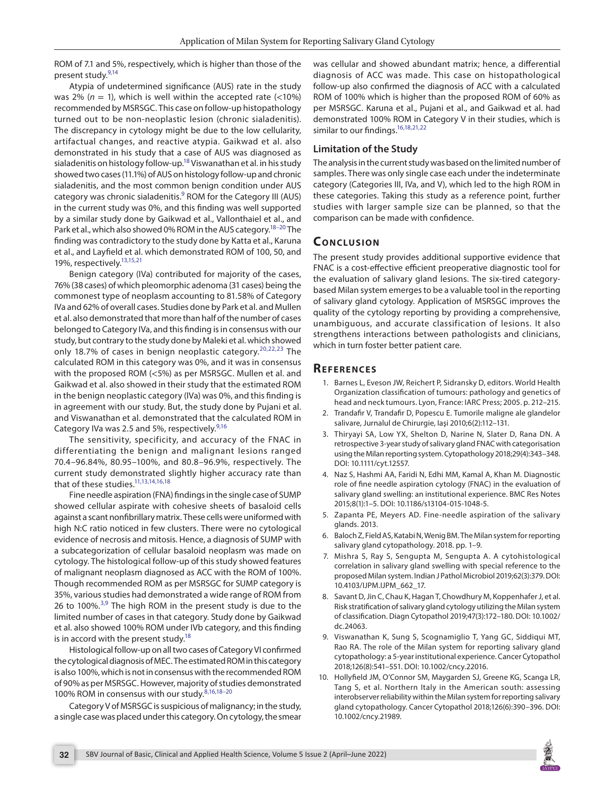ROM of 7.1 and 5%, respectively, which is higher than those of the present study[.9](#page-3-7)[,14](#page-4-6)

Atypia of undetermined significance (AUS) rate in the study was 2% ( $n = 1$ ), which is well within the accepted rate (<10%) recommended by MSRSGC. This case on follow-up histopathology turned out to be non-neoplastic lesion (chronic sialadenitis). The discrepancy in cytology might be due to the low cellularity, artifactual changes, and reactive atypia. Gaikwad et al. also demonstrated in his study that a case of AUS was diagnosed as sialadenitis on histology follow-up.<sup>18</sup> Viswanathan et al. in his study showed two cases (11.1%) of AUS on histology follow-up and chronic sialadenitis, and the most common benign condition under AUS category was chronic sialadenitis.<sup>[9](#page-3-7)</sup> ROM for the Category III (AUS) in the current study was 0%, and this finding was well supported by a similar study done by Gaikwad et al., Vallonthaiel et al., and Park et al., which also showed 0% ROM in the AUS category.<sup>18-20</sup> The finding was contradictory to the study done by Katta et al., Karuna et al., and Layfield et al. which demonstrated ROM of 100, 50, and 19%, respectively.<sup>13,[15](#page-4-8)[,21](#page-4-9)</sup>

Benign category (IVa) contributed for majority of the cases, 76% (38 cases) of which pleomorphic adenoma (31 cases) being the commonest type of neoplasm accounting to 81.58% of Category IVa and 62% of overall cases. Studies done by Park et al. and Mullen et al. also demonstrated that more than half of the number of cases belonged to Category IVa, and this finding is in consensus with our study, but contrary to the study done by Maleki et al. which showed only 18.7% of cases in benign neoplastic category.<sup>[20](#page-4-7),[22,](#page-4-10)[23](#page-4-11)</sup> The calculated ROM in this category was 0%, and it was in consensus with the proposed ROM (<5%) as per MSRSGC. Mullen et al. and Gaikwad et al. also showed in their study that the estimated ROM in the benign neoplastic category (IVa) was 0%, and this finding is in agreement with our study. But, the study done by Pujani et al. and Viswanathan et al. demonstrated that the calculated ROM in Category IVa was 2.5 and 5%, respectively.<sup>9,[16](#page-4-2)</sup>

The sensitivity, specificity, and accuracy of the FNAC in differentiating the benign and malignant lesions ranged 70.4–96.84%, 80.95–100%, and 80.8–96.9%, respectively. The current study demonstrated slightly higher accuracy rate than that of these studies.<sup>11,[13](#page-4-4)[,14,](#page-4-6)[16](#page-4-2)[,18](#page-4-5)</sup>

Fine needle aspiration (FNA) findings in the single case of SUMP showed cellular aspirate with cohesive sheets of basaloid cells against a scant nonfibrillary matrix. These cells were uniformed with high N:C ratio noticed in few clusters. There were no cytological evidence of necrosis and mitosis. Hence, a diagnosis of SUMP with a subcategorization of cellular basaloid neoplasm was made on cytology. The histological follow-up of this study showed features of malignant neoplasm diagnosed as ACC with the ROM of 100%. Though recommended ROM as per MSRSGC for SUMP category is 35%, various studies had demonstrated a wide range of ROM from 26 to 100%.<sup>[3](#page-3-2),[9](#page-3-7)</sup> The high ROM in the present study is due to the limited number of cases in that category. Study done by Gaikwad et al. also showed 100% ROM under IVb category, and this finding is in accord with the present study.<sup>18</sup>

Histological follow-up on all two cases of Category VI confirmed the cytological diagnosis of MEC. The estimated ROM in this category is also 100%, which is not in consensus with the recommended ROM of 90% as per MSRSGC. However, majority of studies demonstrated 100% ROM in consensus with our study.[8](#page-3-8)[,16](#page-4-2)[,18–](#page-4-5)[20](#page-4-7)

Category V of MSRSGC is suspicious of malignancy; in the study, a single case was placed under this category. On cytology, the smear was cellular and showed abundant matrix; hence, a differential diagnosis of ACC was made. This case on histopathological follow-up also confirmed the diagnosis of ACC with a calculated ROM of 100% which is higher than the proposed ROM of 60% as per MSRSGC. Karuna et al., Pujani et al., and Gaikwad et al. had demonstrated 100% ROM in Category V in their studies, which is similar to our findings.<sup>16,[18](#page-4-5),[21,](#page-4-9)[22](#page-4-10)</sup>

## **Limitation of the Study**

The analysis in the current study was based on the limited number of samples. There was only single case each under the indeterminate category (Categories III, IVa, and V), which led to the high ROM in these categories. Taking this study as a reference point, further studies with larger sample size can be planned, so that the comparison can be made with confidence.

# **CONCLUSION**

The present study provides additional supportive evidence that FNAC is a cost-effective efficient preoperative diagnostic tool for the evaluation of salivary gland lesions. The six-tired categorybased Milan system emerges to be a valuable tool in the reporting of salivary gland cytology. Application of MSRSGC improves the quality of the cytology reporting by providing a comprehensive, unambiguous, and accurate classification of lesions. It also strengthens interactions between pathologists and clinicians, which in turn foster better patient care.

## **REFERENCES**

- <span id="page-3-0"></span>1. Barnes L, Eveson JW, Reichert P, Sidransky D, editors. World Health Organization classification of tumours: pathology and genetics of head and neck tumours. Lyon, France: IARC Press; 2005. p. 212–215.
- <span id="page-3-1"></span>2. Trandafir V, Trandafir D, Popescu E. Tumorile maligne ale glandelor salivare, Jurnalul de Chirurgie, Iaşi 2010;6(2):112–131.
- <span id="page-3-2"></span>3. Thiryayi SA, Low YX, Shelton D, Narine N, Slater D, Rana DN. A retrospective 3‐year study of salivary gland FNAC with categorisation using the Milan reporting system. Cytopathology 2018;29(4):343–348. DOI: 10.1111/cyt.12557.
- <span id="page-3-3"></span>4. Naz S, Hashmi AA, Faridi N, Edhi MM, Kamal A, Khan M. Diagnostic role of fine needle aspiration cytology (FNAC) in the evaluation of salivary gland swelling: an institutional experience. BMC Res Notes 2015;8(1):1–5. DOI: 10.1186/s13104-015-1048-5.
- <span id="page-3-4"></span>5. Zapanta PE, Meyers AD. Fine-needle aspiration of the salivary glands. 2013.
- <span id="page-3-5"></span>6. Baloch Z, Field AS, Katabi N, Wenig BM. The Milan system for reporting salivary gland cytopathology. 2018. pp. 1–9.
- <span id="page-3-6"></span>7. Mishra S, Ray S, Sengupta M, Sengupta A. A cytohistological correlation in salivary gland swelling with special reference to the proposed Milan system. Indian J Pathol Microbiol 2019;62(3):379. DOI: 10.4103/IJPM.IJPM\_662\_17.
- <span id="page-3-8"></span>8. Savant D, Jin C, Chau K, Hagan T, Chowdhury M, Koppenhafer J, et al. Risk stratification of salivary gland cytology utilizing the Milan system of classification. Diagn Cytopathol 2019;47(3):172–180. DOI: 10.1002/ dc.24063.
- <span id="page-3-7"></span>9. Viswanathan K, Sung S, Scognamiglio T, Yang GC, Siddiqui MT, Rao RA. The role of the Milan system for reporting salivary gland cytopathology: a 5‐year institutional experience. Cancer Cytopathol 2018;126(8):541–551. DOI: 10.1002/cncy.22016.
- 10. Hollyfield JM, O'Connor SM, Maygarden SJ, Greene KG, Scanga LR, Tang S, et al. Northern Italy in the American south: assessing interobserver reliability within the Milan system for reporting salivary gland cytopathology. Cancer Cytopathol 2018;126(6):390–396. DOI: 10.1002/cncy.21989.